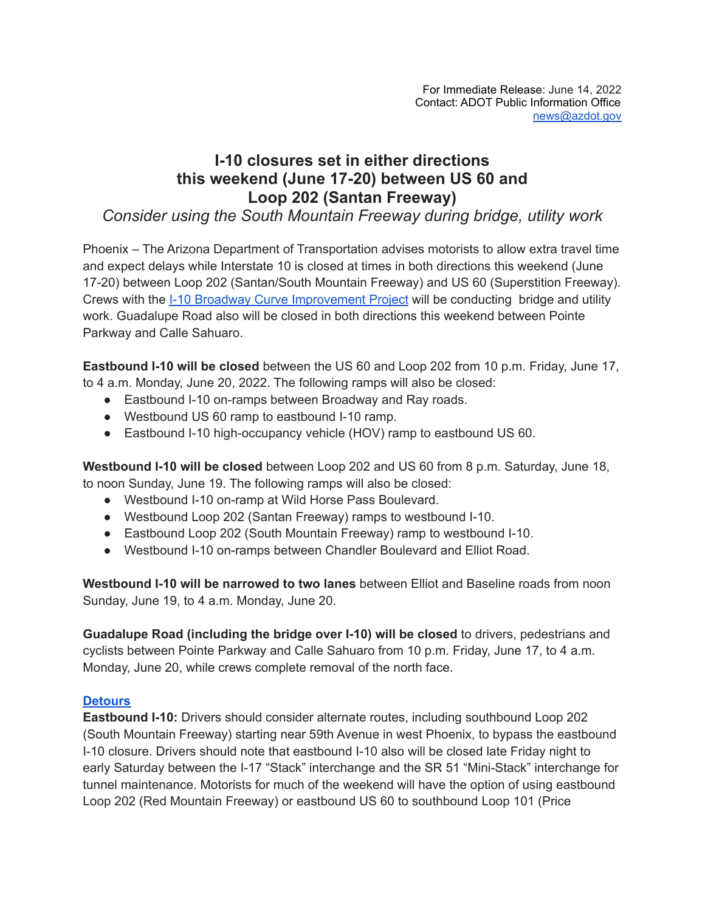## **I-10 closures set in either directions this weekend (June 17-20) between US 60 and Loop 202 (Santan Freeway)**

*Consider using the South Mountain Freeway during bridge, utility work*

Phoenix – The Arizona Department of Transportation advises motorists to allow extra travel time and expect delays while Interstate 10 is closed at times in both directions this weekend (June 17-20) between Loop 202 (Santan/South Mountain Freeway) and US 60 (Superstition Freeway). Crews with the I-10 Broadway Curve [Improvement](https://i10broadwaycurve.com/) Project will be conducting bridge and utility work. Guadalupe Road also will be closed in both directions this weekend between Pointe Parkway and Calle Sahuaro.

**Eastbound I-10 will be closed** between the US 60 and Loop 202 from 10 p.m. Friday, June 17, to 4 a.m. Monday, June 20, 2022. The following ramps will also be closed:

- Eastbound I-10 on-ramps between Broadway and Ray roads.
- Westbound US 60 ramp to eastbound I-10 ramp.
- Eastbound I-10 high-occupancy vehicle (HOV) ramp to eastbound US 60.

**Westbound I-10 will be closed** between Loop 202 and US 60 from 8 p.m. Saturday, June 18, to noon Sunday, June 19. The following ramps will also be closed:

- Westbound I-10 on-ramp at Wild Horse Pass Boulevard.
- Westbound Loop 202 (Santan Freeway) ramps to westbound I-10.
- Eastbound Loop 202 (South Mountain Freeway) ramp to westbound I-10.
- Westbound I-10 on-ramps between Chandler Boulevard and Elliot Road.

**Westbound I-10 will be narrowed to two lanes** between Elliot and Baseline roads from noon Sunday, June 19, to 4 a.m. Monday, June 20.

**Guadalupe Road (including the bridge over I-10) will be closed** to drivers, pedestrians and cyclists between Pointe Parkway and Calle Sahuaro from 10 p.m. Friday, June 17, to 4 a.m. Monday, June 20, while crews complete removal of the north face.

## **[Detours](https://www.youtube.com/shorts/GGgI3yt8w40)**

**Eastbound I-10:** Drivers should consider alternate routes, including southbound Loop 202 (South Mountain Freeway) starting near 59th Avenue in west Phoenix, to bypass the eastbound I-10 closure. Drivers should note that eastbound I-10 also will be closed late Friday night to early Saturday between the I-17 "Stack" interchange and the SR 51 "Mini-Stack" interchange for tunnel maintenance. Motorists for much of the weekend will have the option of using eastbound Loop 202 (Red Mountain Freeway) or eastbound US 60 to southbound Loop 101 (Price